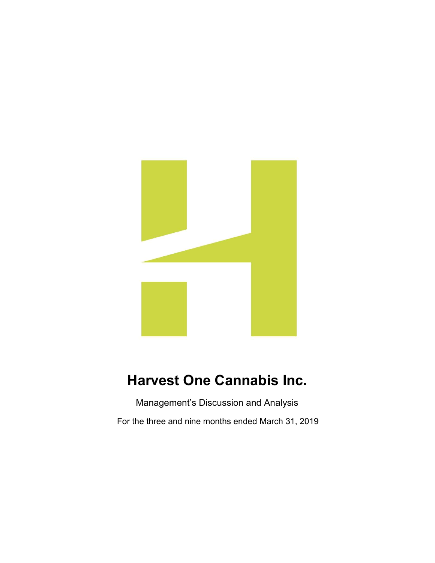

# Harvest One Cannabis Inc.

Management's Discussion and Analysis

For the three and nine months ended March 31, 2019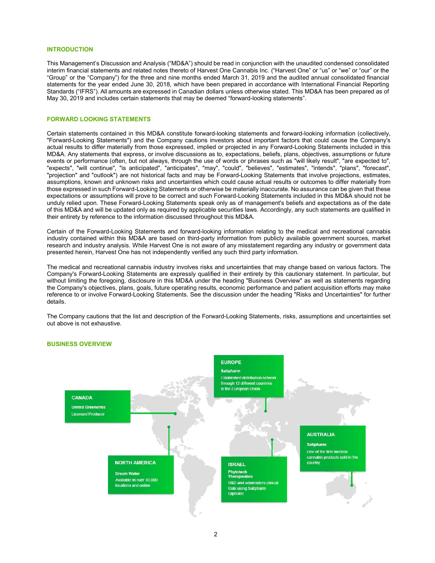## INTRODUCTION

This Management's Discussion and Analysis ("MD&A") should be read in conjunction with the unaudited condensed consolidated interim financial statements and related notes thereto of Harvest One Cannabis Inc. ("Harvest One" or "us" or "we" or "our" or the "Group" or the "Company") for the three and nine months ended March 31, 2019 and the audited annual consolidated financial statements for the year ended June 30, 2018, which have been prepared in accordance with International Financial Reporting Standards ("IFRS"). All amounts are expressed in Canadian dollars unless otherwise stated. This MD&A has been prepared as of May 30, 2019 and includes certain statements that may be deemed "forward-looking statements".

## FORWARD LOOKING STATEMENTS

Certain statements contained in this MD&A constitute forward-looking statements and forward-looking information (collectively, "Forward-Looking Statements") and the Company cautions investors about important factors that could cause the Company's actual results to differ materially from those expressed, implied or projected in any Forward-Looking Statements included in this MD&A. Any statements that express, or involve discussions as to, expectations, beliefs, plans, objectives, assumptions or future events or performance (often, but not always, through the use of words or phrases such as "will likely result", "are expected to", "expects", "will continue", "is anticipated", "anticipates", "may", "could", "believes", "estimates", "intends", "plans", "forecast", "projection" and "outlook") are not historical facts and may be Forward-Looking Statements that involve projections, estimates, assumptions, known and unknown risks and uncertainties which could cause actual results or outcomes to differ materially from those expressed in such Forward-Looking Statements or otherwise be materially inaccurate. No assurance can be given that these expectations or assumptions will prove to be correct and such Forward-Looking Statements included in this MD&A should not be unduly relied upon. These Forward-Looking Statements speak only as of management's beliefs and expectations as of the date of this MD&A and will be updated only as required by applicable securities laws. Accordingly, any such statements are qualified in their entirety by reference to the information discussed throughout this MD&A.

Certain of the Forward-Looking Statements and forward-looking information relating to the medical and recreational cannabis industry contained within this MD&A are based on third-party information from publicly available government sources, market research and industry analysis. While Harvest One is not aware of any misstatement regarding any industry or government data presented herein, Harvest One has not independently verified any such third party information.

The medical and recreational cannabis industry involves risks and uncertainties that may change based on various factors. The Company's Forward-Looking Statements are expressly qualified in their entirety by this cautionary statement. In particular, but without limiting the foregoing, disclosure in this MD&A under the heading "Business Overview" as well as statements regarding the Company's objectives, plans, goals, future operating results, economic performance and patient acquisition efforts may make reference to or involve Forward-Looking Statements. See the discussion under the heading "Risks and Uncertainties" for further details.

The Company cautions that the list and description of the Forward-Looking Statements, risks, assumptions and uncertainties set out above is not exhaustive.



#### BUSINESS OVERVIEW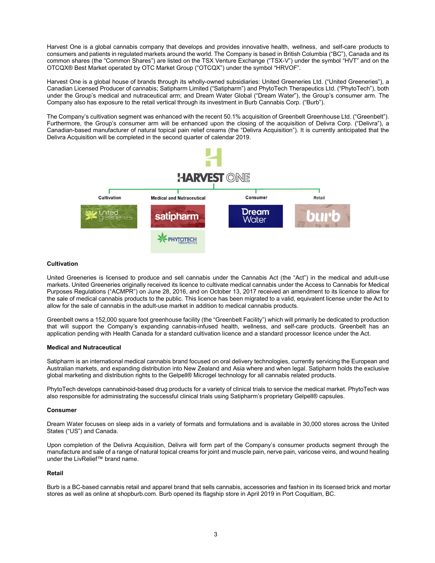Harvest One is a global cannabis company that develops and provides innovative health, wellness, and self-care products to consumers and patients in regulated markets around the world. The Company is based in British Columbia ("BC"), Canada and its common shares (the "Common Shares") are listed on the TSX Venture Exchange ("TSX-V") under the symbol "HVT" and on the OTCQX® Best Market operated by OTC Market Group ("OTCQX") under the symbol "HRVOF".

Harvest One is a global house of brands through its wholly-owned subsidiaries: United Greeneries Ltd. ("United Greeneries"), a Canadian Licensed Producer of cannabis; Satipharm Limited ("Satipharm") and PhytoTech Therapeutics Ltd. ("PhytoTech"), both under the Group's medical and nutraceutical arm; and Dream Water Global ("Dream Water"), the Group's consumer arm. The Company also has exposure to the retail vertical through its investment in Burb Cannabis Corp. ("Burb").

The Company's cultivation segment was enhanced with the recent 50.1% acquisition of Greenbelt Greenhouse Ltd. ("Greenbelt"). Furthermore, the Group's consumer arm will be enhanced upon the closing of the acquisition of Delivra Corp. ("Delivra"), a Canadian-based manufacturer of natural topical pain relief creams (the "Delivra Acquisition"). It is currently anticipated that the Delivra Acquisition will be completed in the second quarter of calendar 2019.



# **Cultivation**

United Greeneries is licensed to produce and sell cannabis under the Cannabis Act (the "Act") in the medical and adult-use markets. United Greeneries originally received its licence to cultivate medical cannabis under the Access to Cannabis for Medical Purposes Regulations ("ACMPR") on June 28, 2016, and on October 13, 2017 received an amendment to its licence to allow for the sale of medical cannabis products to the public. This licence has been migrated to a valid, equivalent license under the Act to allow for the sale of cannabis in the adult-use market in addition to medical cannabis products.

Greenbelt owns a 152,000 square foot greenhouse facility (the "Greenbelt Facility") which will primarily be dedicated to production that will support the Company's expanding cannabis-infused health, wellness, and self-care products. Greenbelt has an application pending with Health Canada for a standard cultivation licence and a standard processor licence under the Act.

## Medical and Nutraceutical

Satipharm is an international medical cannabis brand focused on oral delivery technologies, currently servicing the European and Australian markets, and expanding distribution into New Zealand and Asia where and when legal. Satipharm holds the exclusive global marketing and distribution rights to the Gelpell® Microgel technology for all cannabis related products.

PhytoTech develops cannabinoid-based drug products for a variety of clinical trials to service the medical market. PhytoTech was also responsible for administrating the successful clinical trials using Satipharm's proprietary Gelpell® capsules.

# Consumer

Dream Water focuses on sleep aids in a variety of formats and formulations and is available in 30,000 stores across the United States ("US") and Canada.

Upon completion of the Delivra Acquisition, Delivra will form part of the Company's consumer products segment through the manufacture and sale of a range of natural topical creams for joint and muscle pain, nerve pain, varicose veins, and wound healing under the LivRelief™ brand name.

## Retail

Burb is a BC-based cannabis retail and apparel brand that sells cannabis, accessories and fashion in its licensed brick and mortar stores as well as online at shopburb.com. Burb opened its flagship store in April 2019 in Port Coquitlam, BC.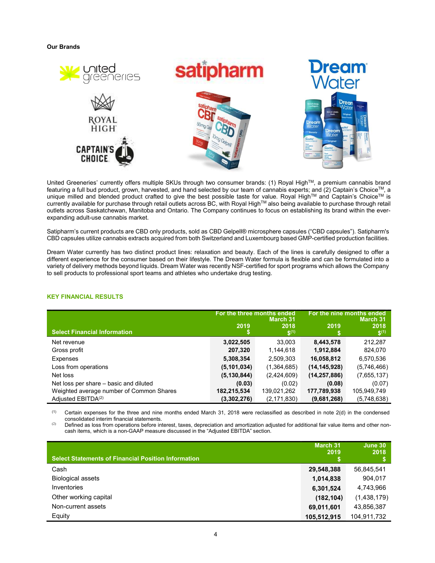Our Brands



United Greeneries' currently offers multiple SKUs through two consumer brands: (1) Royal HighTM, a premium cannabis brand featuring a full bud product, grown, harvested, and hand selected by our team of cannabis experts; and (2) Captain's Choice™, a unique milled and blended product crafted to give the best possible taste for value. Royal High™ and Captain's Choice™ is currently available for purchase through retail outlets across BC, with Royal High™ also being available to purchase through retail outlets across Saskatchewan, Manitoba and Ontario. The Company continues to focus on establishing its brand within the everexpanding adult-use cannabis market.

Satipharm's current products are CBD only products, sold as CBD Gelpell® microsphere capsules ("CBD capsules"). Satipharm's CBD capsules utilize cannabis extracts acquired from both Switzerland and Luxembourg based GMP-certified production facilities.

Dream Water currently has two distinct product lines: relaxation and beauty. Each of the lines is carefully designed to offer a different experience for the consumer based on their lifestyle. The Dream Water formula is flexible and can be formulated into a variety of delivery methods beyond liquids. Dream Water was recently NSF-certified for sport programs which allows the Company to sell products to professional sport teams and athletes who undertake drug testing.

|                                          | For the three months ended | March 31          | For the nine months ended<br><b>March 31</b> |                   |  |
|------------------------------------------|----------------------------|-------------------|----------------------------------------------|-------------------|--|
| <b>Select Financial Information</b>      | 2019                       | 2018<br>$S^{(1)}$ | 2019                                         | 2018<br>$S^{(1)}$ |  |
| Net revenue                              | 3,022,505                  | 33,003            | 8,443,578                                    | 212,287           |  |
| Gross profit                             | 207,320                    | 1,144,618         | 1,912,884                                    | 824,070           |  |
| <b>Expenses</b>                          | 5,308,354                  | 2,509,303         | 16,058,812                                   | 6,570,536         |  |
| Loss from operations                     | (5, 101, 034)              | (1,364,685)       | (14, 145, 928)                               | (5,746,466)       |  |
| Net loss                                 | (5, 130, 844)              | (2,424,609)       | (14, 257, 886)                               | (7,655,137)       |  |
| Net loss per share – basic and diluted   | (0.03)                     | (0.02)            | (0.08)                                       | (0.07)            |  |
| Weighted average number of Common Shares | 182,215,534                | 139,021,262       | 177,789,938                                  | 105,949,749       |  |
| Adjusted EBITDA <sup>(2)</sup>           | (3,302,276)                | (2, 171, 830)     | (9,681,268)                                  | (5,748,638)       |  |

# KEY FINANCIAL RESULTS

 $(1)$  Certain expenses for the three and nine months ended March 31, 2018 were reclassified as described in note 2(d) in the condensed consolidated interim financial statements.

(2) Defined as loss from operations before interest, taxes, depreciation and amortization adjusted for additional fair value items and other noncash items, which is a non-GAAP measure discussed in the "Adjusted EBITDA" section.

| <b>Select Statements of Financial Position Information</b> | March 31<br>2019 | June 30<br>2018 |
|------------------------------------------------------------|------------------|-----------------|
| Cash                                                       | 29,548,388       | 56,845,541      |
| <b>Biological assets</b>                                   | 1,014,838        | 904,017         |
| <b>Inventories</b>                                         | 6,301,524        | 4,743,966       |
| Other working capital                                      | (182, 104)       | (1,438,179)     |
| Non-current assets                                         | 69,011,601       | 43,856,387      |
| Equity                                                     | 105,512,915      | 104,911,732     |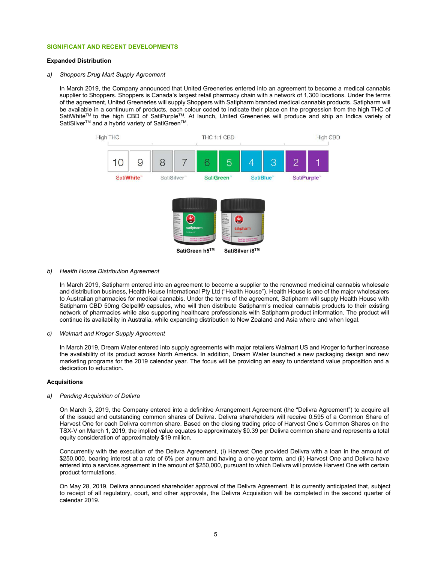## SIGNIFICANT AND RECENT DEVELOPMENTS

## Expanded Distribution

#### a) Shoppers Drug Mart Supply Agreement

In March 2019, the Company announced that United Greeneries entered into an agreement to become a medical cannabis supplier to Shoppers. Shoppers is Canada's largest retail pharmacy chain with a network of 1,300 locations. Under the terms of the agreement, United Greeneries will supply Shoppers with Satipharm branded medical cannabis products. Satipharm will be available in a continuum of products, each colour coded to indicate their place on the progression from the high THC of SatiWhiteTM to the high CBD of SatiPurpleTM. At launch, United Greeneries will produce and ship an Indica variety of SatiSilver<sup>™</sup> and a hybrid variety of SatiGreen<sup>™</sup>.



#### b) Health House Distribution Agreement

In March 2019, Satipharm entered into an agreement to become a supplier to the renowned medicinal cannabis wholesale and distribution business, Health House International Pty Ltd ("Health House"). Health House is one of the major wholesalers to Australian pharmacies for medical cannabis. Under the terms of the agreement, Satipharm will supply Health House with Satipharm CBD 50mg Gelpell® capsules, who will then distribute Satipharm's medical cannabis products to their existing network of pharmacies while also supporting healthcare professionals with Satipharm product information. The product will continue its availability in Australia, while expanding distribution to New Zealand and Asia where and when legal.

#### c) Walmart and Kroger Supply Agreement

In March 2019, Dream Water entered into supply agreements with major retailers Walmart US and Kroger to further increase the availability of its product across North America. In addition, Dream Water launched a new packaging design and new marketing programs for the 2019 calendar year. The focus will be providing an easy to understand value proposition and a dedication to education.

## Acquisitions

#### a) Pending Acquisition of Delivra

On March 3, 2019, the Company entered into a definitive Arrangement Agreement (the "Delivra Agreement") to acquire all of the issued and outstanding common shares of Delivra. Delivra shareholders will receive 0.595 of a Common Share of Harvest One for each Delivra common share. Based on the closing trading price of Harvest One's Common Shares on the TSX-V on March 1, 2019, the implied value equates to approximately \$0.39 per Delivra common share and represents a total equity consideration of approximately \$19 million.

Concurrently with the execution of the Delivra Agreement, (i) Harvest One provided Delivra with a loan in the amount of \$250,000, bearing interest at a rate of 6% per annum and having a one-year term, and (ii) Harvest One and Delivra have entered into a services agreement in the amount of \$250,000, pursuant to which Delivra will provide Harvest One with certain product formulations.

On May 28, 2019, Delivra announced shareholder approval of the Delivra Agreement. It is currently anticipated that, subject to receipt of all regulatory, court, and other approvals, the Delivra Acquisition will be completed in the second quarter of calendar 2019.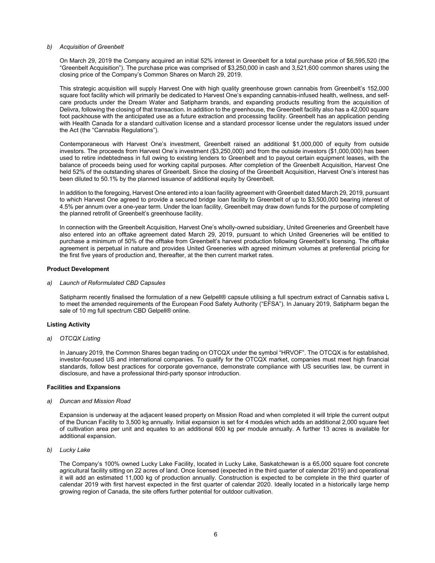## b) Acquisition of Greenbelt

On March 29, 2019 the Company acquired an initial 52% interest in Greenbelt for a total purchase price of \$6,595,520 (the "Greenbelt Acquisition"). The purchase price was comprised of \$3,250,000 in cash and 3,521,600 common shares using the closing price of the Company's Common Shares on March 29, 2019.

This strategic acquisition will supply Harvest One with high quality greenhouse grown cannabis from Greenbelt's 152,000 square foot facility which will primarily be dedicated to Harvest One's expanding cannabis-infused health, wellness, and selfcare products under the Dream Water and Satipharm brands, and expanding products resulting from the acquisition of Delivra, following the closing of that transaction. In addition to the greenhouse, the Greenbelt facility also has a 42,000 square foot packhouse with the anticipated use as a future extraction and processing facility. Greenbelt has an application pending with Health Canada for a standard cultivation license and a standard processor license under the regulators issued under the Act (the "Cannabis Regulations").

Contemporaneous with Harvest One's investment, Greenbelt raised an additional \$1,000,000 of equity from outside investors. The proceeds from Harvest One's investment (\$3,250,000) and from the outside investors (\$1,000,000) has been used to retire indebtedness in full owing to existing lenders to Greenbelt and to payout certain equipment leases, with the balance of proceeds being used for working capital purposes. After completion of the Greenbelt Acquisition, Harvest One held 52% of the outstanding shares of Greenbelt. Since the closing of the Greenbelt Acquisition, Harvest One's interest has been diluted to 50.1% by the planned issuance of additional equity by Greenbelt.

In addition to the foregoing, Harvest One entered into a loan facility agreement with Greenbelt dated March 29, 2019, pursuant to which Harvest One agreed to provide a secured bridge loan facility to Greenbelt of up to \$3,500,000 bearing interest of 4.5% per annum over a one-year term. Under the loan facility, Greenbelt may draw down funds for the purpose of completing the planned retrofit of Greenbelt's greenhouse facility.

In connection with the Greenbelt Acquisition, Harvest One's wholly-owned subsidiary, United Greeneries and Greenbelt have also entered into an offtake agreement dated March 29, 2019, pursuant to which United Greeneries will be entitled to purchase a minimum of 50% of the offtake from Greenbelt's harvest production following Greenbelt's licensing. The offtake agreement is perpetual in nature and provides United Greeneries with agreed minimum volumes at preferential pricing for the first five years of production and, thereafter, at the then current market rates.

## Product Development

a) Launch of Reformulated CBD Capsules

Satipharm recently finalised the formulation of a new Gelpell® capsule utilising a full spectrum extract of Cannabis sativa L to meet the amended requirements of the European Food Safety Authority ("EFSA"). In January 2019, Satipharm began the sale of 10 mg full spectrum CBD Gelpell® online.

## Listing Activity

a) OTCQX Listing

In January 2019, the Common Shares began trading on OTCQX under the symbol "HRVOF". The OTCQX is for established, investor-focused US and international companies. To qualify for the OTCQX market, companies must meet high financial standards, follow best practices for corporate governance, demonstrate compliance with US securities law, be current in disclosure, and have a professional third-party sponsor introduction.

# Facilities and Expansions

a) Duncan and Mission Road

Expansion is underway at the adjacent leased property on Mission Road and when completed it will triple the current output of the Duncan Facility to 3,500 kg annually. Initial expansion is set for 4 modules which adds an additional 2,000 square feet of cultivation area per unit and equates to an additional 600 kg per module annually. A further 13 acres is available for additional expansion.

b) Lucky Lake

The Company's 100% owned Lucky Lake Facility, located in Lucky Lake, Saskatchewan is a 65,000 square foot concrete agricultural facility sitting on 22 acres of land. Once licensed (expected in the third quarter of calendar 2019) and operational it will add an estimated 11,000 kg of production annually. Construction is expected to be complete in the third quarter of calendar 2019 with first harvest expected in the first quarter of calendar 2020. Ideally located in a historically large hemp growing region of Canada, the site offers further potential for outdoor cultivation.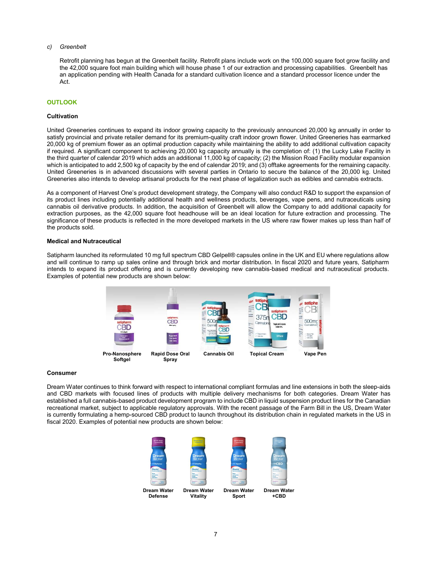## c) Greenbelt

Retrofit planning has begun at the Greenbelt facility. Retrofit plans include work on the 100,000 square foot grow facility and the 42,000 square foot main building which will house phase 1 of our extraction and processing capabilities. Greenbelt has an application pending with Health Canada for a standard cultivation licence and a standard processor licence under the Act.

# **OUTLOOK**

## **Cultivation**

United Greeneries continues to expand its indoor growing capacity to the previously announced 20,000 kg annually in order to satisfy provincial and private retailer demand for its premium-quality craft indoor grown flower. United Greeneries has earmarked 20,000 kg of premium flower as an optimal production capacity while maintaining the ability to add additional cultivation capacity if required. A significant component to achieving 20,000 kg capacity annually is the completion of: (1) the Lucky Lake Facility in the third quarter of calendar 2019 which adds an additional 11,000 kg of capacity; (2) the Mission Road Facility modular expansion which is anticipated to add 2,500 kg of capacity by the end of calendar 2019; and (3) offtake agreements for the remaining capacity. United Greeneries is in advanced discussions with several parties in Ontario to secure the balance of the 20,000 kg. United Greeneries also intends to develop artisanal products for the next phase of legalization such as edibles and cannabis extracts.

As a component of Harvest One's product development strategy, the Company will also conduct R&D to support the expansion of its product lines including potentially additional health and wellness products, beverages, vape pens, and nutraceuticals using cannabis oil derivative products. In addition, the acquisition of Greenbelt will allow the Company to add additional capacity for extraction purposes, as the 42,000 square foot headhouse will be an ideal location for future extraction and processing. The significance of these products is reflected in the more developed markets in the US where raw flower makes up less than half of the products sold.

## Medical and Nutraceutical

Satipharm launched its reformulated 10 mg full spectrum CBD Gelpell® capsules online in the UK and EU where regulations allow and will continue to ramp up sales online and through brick and mortar distribution. In fiscal 2020 and future years, Satipharm intends to expand its product offering and is currently developing new cannabis-based medical and nutraceutical products. Examples of potential new products are shown below:



#### Consumer

Dream Water continues to think forward with respect to international compliant formulas and line extensions in both the sleep-aids and CBD markets with focused lines of products with multiple delivery mechanisms for both categories. Dream Water has established a full cannabis-based product development program to include CBD in liquid suspension product lines for the Canadian recreational market, subject to applicable regulatory approvals. With the recent passage of the Farm Bill in the US, Dream Water is currently formulating a hemp-sourced CBD product to launch throughout its distribution chain in regulated markets in the US in fiscal 2020. Examples of potential new products are shown below:

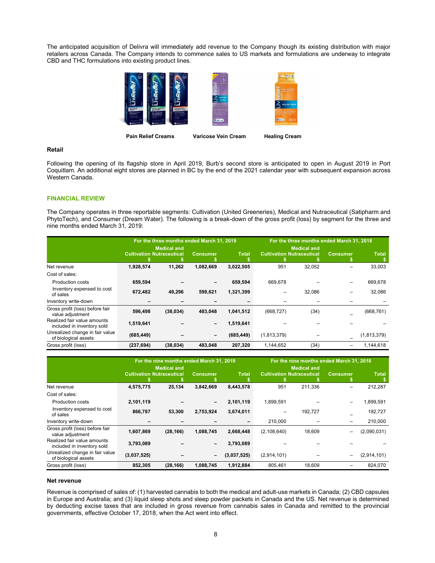The anticipated acquisition of Delivra will immediately add revenue to the Company though its existing distribution with major retailers across Canada. The Company intends to commence sales to US markets and formulations are underway to integrate CBD and THC formulations into existing product lines.



#### Pain Relief Creams Varicose Vein Cream Healing Cream

#### Retail

Following the opening of its flagship store in April 2019, Burb's second store is anticipated to open in August 2019 in Port Coquitlam. An additional eight stores are planned in BC by the end of the 2021 calendar year with subsequent expansion across Western Canada.

## FINANCIAL REVIEW

The Company operates in three reportable segments: Cultivation (United Greeneries), Medical and Nutraceutical (Satipharm and PhytoTech), and Consumer (Dream Water). The following is a break-down of the gross profit (loss) by segment for the three and nine months ended March 31, 2019:

|                                                           | For the three months ended March 31, 2019 |                                                        |                          |              | For the three months ended March 31, 2018 |                                                        |                 |              |
|-----------------------------------------------------------|-------------------------------------------|--------------------------------------------------------|--------------------------|--------------|-------------------------------------------|--------------------------------------------------------|-----------------|--------------|
|                                                           |                                           | <b>Medical and</b><br><b>Cultivation Nutraceutical</b> | <b>Consumer</b>          | <b>Total</b> |                                           | <b>Medical and</b><br><b>Cultivation Nutraceutical</b> | <b>Consumer</b> | <b>Total</b> |
| Net revenue                                               | 1,928,574                                 | 11,262                                                 | 1,082,669                | 3,022,505    | 951                                       | 32,052                                                 | -               | 33,003       |
| Cost of sales:                                            |                                           |                                                        |                          |              |                                           |                                                        |                 |              |
| <b>Production costs</b>                                   | 659,594                                   |                                                        | $\overline{\phantom{a}}$ | 659,594      | 669,678                                   | ۰                                                      | $-$             | 669,678      |
| Inventory expensed to cost<br>of sales                    | 672,482                                   | 49,296                                                 | 599,621                  | 1,321,399    | -                                         | 32,086                                                 |                 | 32,086       |
| Inventory write-down                                      | -                                         |                                                        |                          | -            | -                                         |                                                        |                 | -            |
| Gross profit (loss) before fair<br>value adjustment       | 596,498                                   | (38, 034)                                              | 483,048                  | 1,041,512    | (668, 727)                                | (34)                                                   |                 | (668, 761)   |
| Realized fair value amounts<br>included in inventory sold | 1,519,641                                 |                                                        | $\overline{\phantom{a}}$ | 1,519,641    |                                           |                                                        |                 |              |
| Unrealized change in fair value<br>of biological assets   | (685, 449)                                |                                                        | $\overline{\phantom{a}}$ | (685, 449)   | (1,813,379)                               | -                                                      |                 | (1,813,379)  |
| Gross profit (loss)                                       | (237, 694)                                | (38, 034)                                              | 483,048                  | 207,320      | 1,144,652                                 | (34)                                                   | -               | 1,144,618    |

|                                                           | For the nine months ended March 31, 2019 |           |                          |                | For the nine months ended March 31, 2018 |         |                          |              |
|-----------------------------------------------------------|------------------------------------------|-----------|--------------------------|----------------|------------------------------------------|---------|--------------------------|--------------|
|                                                           | <b>Medical and</b>                       |           |                          |                | <b>Medical and</b>                       |         |                          |              |
|                                                           | <b>Cultivation Nutraceutical</b>         |           | <b>Consumer</b>          | <b>Total</b>   | <b>Cultivation Nutraceutical</b>         |         | <b>Consumer</b>          | <b>Total</b> |
| Net revenue                                               | 4,575,775                                | 25,134    | 3,842,669                | 8,443,578      | 951                                      | 211.336 | $\overline{\phantom{0}}$ | 212,287      |
| Cost of sales:                                            |                                          |           |                          |                |                                          |         |                          |              |
| <b>Production costs</b>                                   | 2,101,119                                |           | $\overline{\phantom{a}}$ | 2,101,119      | 1.899.591                                | -       | $\overline{\phantom{0}}$ | 1,899,591    |
| Inventory expensed to cost<br>of sales                    | 866,787                                  | 53,300    | 2,753,924                | 3,674,011      | -                                        | 192,727 |                          | 192,727      |
| Inventory write-down                                      | $\overline{\phantom{0}}$                 |           |                          | $\blacksquare$ | 210,000                                  | -       | $\overline{\phantom{0}}$ | 210,000      |
| Gross profit (loss) before fair<br>value adjustment       | 1,607,869                                | (28, 166) | 1,088,745                | 2,668,448      | (2, 108, 640)                            | 18,609  | -                        | (2,090,031)  |
| Realized fair value amounts<br>included in inventory sold | 3,793,089                                |           | -                        | 3,793,089      |                                          |         |                          |              |
| Unrealized change in fair value<br>of biological assets   | (3,037,525)                              |           | -                        | (3,037,525)    | (2,914,101)                              | -       | $-$                      | (2,914,101)  |
| Gross profit (loss)                                       | 852,305                                  | (28, 166) | 1,088,745                | 1,912,884      | 805,461                                  | 18.609  | -                        | 824,070      |

## Net revenue

Revenue is comprised of sales of: (1) harvested cannabis to both the medical and adult-use markets in Canada; (2) CBD capsules in Europe and Australia; and (3) liquid sleep shots and sleep powder packets in Canada and the US. Net revenue is determined by deducting excise taxes that are included in gross revenue from cannabis sales in Canada and remitted to the provincial governments, effective October 17, 2018, when the Act went into effect.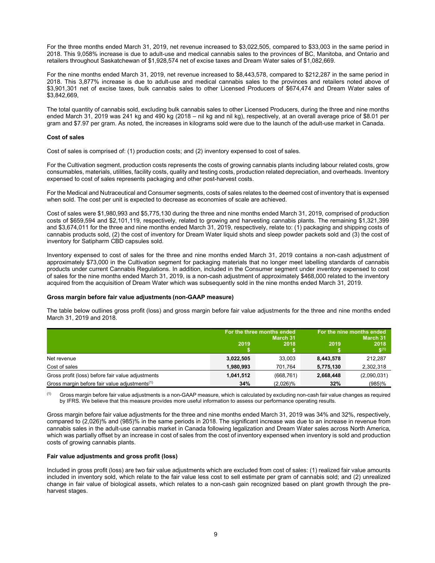For the three months ended March 31, 2019, net revenue increased to \$3,022,505, compared to \$33,003 in the same period in 2018. This 9,058% increase is due to adult-use and medical cannabis sales to the provinces of BC, Manitoba, and Ontario and retailers throughout Saskatchewan of \$1,928,574 net of excise taxes and Dream Water sales of \$1,082,669.

For the nine months ended March 31, 2019, net revenue increased to \$8,443,578, compared to \$212,287 in the same period in 2018. This 3,877% increase is due to adult-use and medical cannabis sales to the provinces and retailers noted above of \$3,901,301 net of excise taxes, bulk cannabis sales to other Licensed Producers of \$674,474 and Dream Water sales of \$3,842,669,

The total quantity of cannabis sold, excluding bulk cannabis sales to other Licensed Producers, during the three and nine months ended March 31, 2019 was 241 kg and 490 kg (2018 – nil kg and nil kg), respectively, at an overall average price of \$8.01 per gram and \$7.97 per gram. As noted, the increases in kilograms sold were due to the launch of the adult-use market in Canada.

## Cost of sales

Cost of sales is comprised of: (1) production costs; and (2) inventory expensed to cost of sales.

For the Cultivation segment, production costs represents the costs of growing cannabis plants including labour related costs, grow consumables, materials, utilities, facility costs, quality and testing costs, production related depreciation, and overheads. Inventory expensed to cost of sales represents packaging and other post-harvest costs.

For the Medical and Nutraceutical and Consumer segments, costs of sales relates to the deemed cost of inventory that is expensed when sold. The cost per unit is expected to decrease as economies of scale are achieved.

Cost of sales were \$1,980,993 and \$5,775,130 during the three and nine months ended March 31, 2019, comprised of production costs of \$659,594 and \$2,101,119, respectively, related to growing and harvesting cannabis plants. The remaining \$1,321,399 and \$3,674,011 for the three and nine months ended March 31, 2019, respectively, relate to: (1) packaging and shipping costs of cannabis products sold, (2) the cost of inventory for Dream Water liquid shots and sleep powder packets sold and (3) the cost of inventory for Satipharm CBD capsules sold.

Inventory expensed to cost of sales for the three and nine months ended March 31, 2019 contains a non-cash adjustment of approximately \$73,000 in the Cultivation segment for packaging materials that no longer meet labelling standards of cannabis products under current Cannabis Regulations. In addition, included in the Consumer segment under inventory expensed to cost of sales for the nine months ended March 31, 2019, is a non-cash adjustment of approximately \$468,000 related to the inventory acquired from the acquisition of Dream Water which was subsequently sold in the nine months ended March 31, 2019.

## Gross margin before fair value adjustments (non-GAAP measure)

The table below outlines gross profit (loss) and gross margin before fair value adjustments for the three and nine months ended March 31, 2019 and 2018.

|                                                           |           | For the three months ended<br>March 31 | For the nine months ended<br>March 31 |                                  |  |
|-----------------------------------------------------------|-----------|----------------------------------------|---------------------------------------|----------------------------------|--|
|                                                           | 2019      | 2018                                   | 2019                                  | 2018<br>$\mathbf{\hat{S}}^{(1)}$ |  |
| Net revenue                                               | 3,022,505 | 33.003                                 | 8,443,578                             | 212.287                          |  |
| Cost of sales                                             | 1,980,993 | 701.764                                | 5,775,130                             | 2,302,318                        |  |
| Gross profit (loss) before fair value adjustments         | 1,041,512 | (668, 761)                             | 2,668,448                             | (2,090,031)                      |  |
| Gross margin before fair value adjustments <sup>(1)</sup> | 34%       | $(2,026)\%$                            | 32%                                   | $(985)$ %                        |  |

(1) Gross margin before fair value adjustments is a non-GAAP measure, which is calculated by excluding non-cash fair value changes as required by IFRS. We believe that this measure provides more useful information to assess our performance operating results.

Gross margin before fair value adjustments for the three and nine months ended March 31, 2019 was 34% and 32%, respectively, compared to (2,026)% and (985)% in the same periods in 2018. The significant increase was due to an increase in revenue from cannabis sales in the adult-use cannabis market in Canada following legalization and Dream Water sales across North America, which was partially offset by an increase in cost of sales from the cost of inventory expensed when inventory is sold and production costs of growing cannabis plants.

## Fair value adjustments and gross profit (loss)

Included in gross profit (loss) are two fair value adjustments which are excluded from cost of sales: (1) realized fair value amounts included in inventory sold, which relate to the fair value less cost to sell estimate per gram of cannabis sold; and (2) unrealized change in fair value of biological assets, which relates to a non-cash gain recognized based on plant growth through the preharvest stages.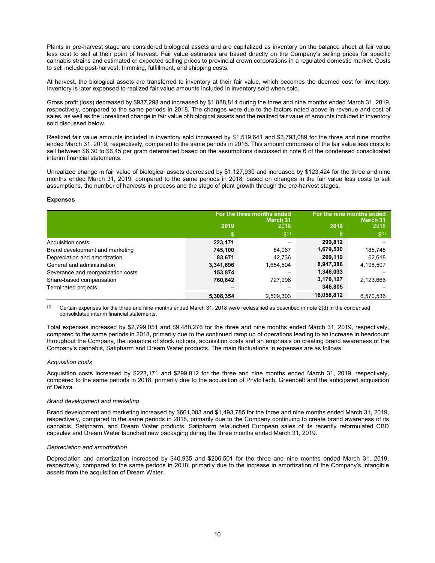Plants in pre-harvest stage are considered biological assets and are capitalized as inventory on the balance sheet at fair value less cost to sell at their point of harvest. Fair value estimates are based directly on the Company's selling prices for specific cannabis strains and estimated or expected selling prices to provincial crown corporations in a regulated domestic market. Costs to sell include post-harvest, trimming, fulfillment, and shipping costs.

At harvest, the biological assets are transferred to inventory at their fair value, which becomes the deemed cost for inventory. Inventory is later expensed to realized fair value amounts included in inventory sold when sold.

Gross profit (loss) decreased by \$937,298 and increased by \$1,088,814 during the three and nine months ended March 31, 2019, respectively, compared to the same periods in 2018. The changes were due to the factors noted above in revenue and cost of sales, as well as the unrealized change in fair value of biological assets and the realized fair value of amounts included in inventory sold discussed below.

Realized fair value amounts included in inventory sold increased by \$1,519,641 and \$3,793,089 for the three and nine months ended March 31, 2019, respectively, compared to the same periods in 2018. This amount comprises of the fair value less costs to sell between \$6.30 to \$6.45 per gram determined based on the assumptions discussed in note 6 of the condensed consolidated interim financial statements.

Unrealized change in fair value of biological assets decreased by \$1,127,930 and increased by \$123,424 for the three and nine months ended March 31, 2019, compared to the same periods in 2018, based on changes in the fair value less costs to sell assumptions, the number of harvests in process and the stage of plant growth through the pre-harvest stages.

## Expenses

|                                    |           | For the three months ended<br>March 31 | For the nine months ended<br>March 31 |                      |  |
|------------------------------------|-----------|----------------------------------------|---------------------------------------|----------------------|--|
|                                    | 2019      | 2018                                   | 2019                                  | 2018                 |  |
|                                    |           | $\mathfrak{S}^{(1)}$                   |                                       | $\mathfrak{S}^{(1)}$ |  |
| Acquisition costs                  | 223,171   |                                        | 299,812                               |                      |  |
| Brand development and marketing    | 745,100   | 84.067                                 | 1,679,530                             | 185,745              |  |
| Depreciation and amortization      | 83,671    | 42.736                                 | 269,119                               | 62,618               |  |
| General and administration         | 3,341,696 | 1,654,504                              | 8,947,386                             | 4,198,507            |  |
| Severance and reorganization costs | 153,874   |                                        | 1,346,033                             |                      |  |
| Share-based compensation           | 760,842   | 727.996                                | 3,170,127                             | 2,123,666            |  |
| Terminated projects                |           |                                        | 346,805                               |                      |  |
|                                    | 5,308,354 | 2,509,303                              | 16,058,812                            | 6,570,536            |  |

 $(1)$  Certain expenses for the three and nine months ended March 31, 2018 were reclassified as described in note 2(d) in the condensed consolidated interim financial statements.

Total expenses increased by \$2,799,051 and \$9,488,276 for the three and nine months ended March 31, 2019, respectively, compared to the same periods in 2018, primarily due to the continued ramp up of operations leading to an increase in headcount throughout the Company, the issuance of stock options, acquisition costs and an emphasis on creating brand awareness of the Company's cannabis, Satipharm and Dream Water products. The main fluctuations in expenses are as follows:

## Acquisition costs

Acquisition costs increased by \$223,171 and \$299,812 for the three and nine months ended March 31, 2019, respectively, compared to the same periods in 2018, primarily due to the acquisition of PhytoTech, Greenbelt and the anticipated acquisition of Delivra.

## Brand development and marketing

Brand development and marketing increased by \$661,003 and \$1,493,785 for the three and nine months ended March 31, 2019, respectively, compared to the same periods in 2018, primarily due to the Company continuing to create brand awareness of its cannabis, Satipharm, and Dream Water products. Satipharm relaunched European sales of its recently reformulated CBD capsules and Dream Water launched new packaging during the three months ended March 31, 2019.

#### Depreciation and amortization

Depreciation and amortization increased by \$40,935 and \$206,501 for the three and nine months ended March 31, 2019, respectively, compared to the same periods in 2018, primarily due to the increase in amortization of the Company's intangible assets from the acquisition of Dream Water.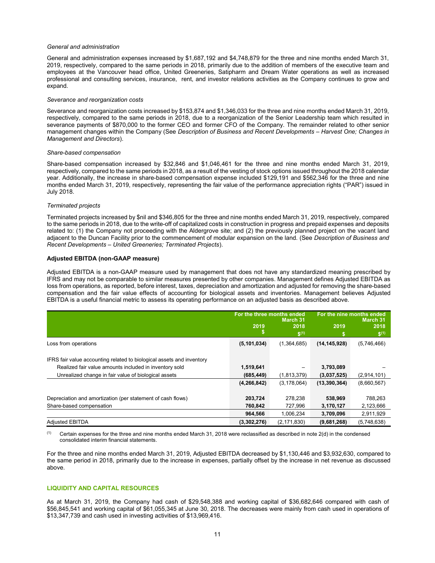#### General and administration

General and administration expenses increased by \$1,687,192 and \$4,748,879 for the three and nine months ended March 31, 2019, respectively, compared to the same periods in 2018, primarily due to the addition of members of the executive team and employees at the Vancouver head office, United Greeneries, Satipharm and Dream Water operations as well as increased professional and consulting services, insurance, rent, and investor relations activities as the Company continues to grow and expand.

#### Severance and reorganization costs

Severance and reorganization costs increased by \$153,874 and \$1,346,033 for the three and nine months ended March 31, 2019, respectively, compared to the same periods in 2018, due to a reorganization of the Senior Leadership team which resulted in severance payments of \$870,000 to the former CEO and former CFO of the Company. The remainder related to other senior management changes within the Company (See Description of Business and Recent Developments – Harvest One; Changes in Management and Directors).

#### Share-based compensation

Share-based compensation increased by \$32,846 and \$1,046,461 for the three and nine months ended March 31, 2019, respectively, compared to the same periods in 2018, as a result of the vesting of stock options issued throughout the 2018 calendar year. Additionally, the increase in share-based compensation expense included \$129,191 and \$562,346 for the three and nine months ended March 31, 2019, respectively, representing the fair value of the performance appreciation rights ("PAR") issued in July 2018.

## Terminated projects

Terminated projects increased by \$nil and \$346,805 for the three and nine months ended March 31, 2019, respectively, compared to the same periods in 2018, due to the write-off of capitalized costs in construction in progress and prepaid expenses and deposits related to: (1) the Company not proceeding with the Aldergrove site; and (2) the previously planned project on the vacant land adjacent to the Duncan Facility prior to the commencement of modular expansion on the land. (See Description of Business and Recent Developments – United Greeneries; Terminated Projects).

## Adjusted EBITDA (non-GAAP measure)

Adjusted EBITDA is a non-GAAP measure used by management that does not have any standardized meaning prescribed by IFRS and may not be comparable to similar measures presented by other companies. Management defines Adjusted EBITDA as loss from operations, as reported, before interest, taxes, depreciation and amortization and adjusted for removing the share-based compensation and the fair value effects of accounting for biological assets and inventories. Management believes Adjusted EBITDA is a useful financial metric to assess its operating performance on an adjusted basis as described above.

|                                                                       | For the three months ended |                                       | For the nine months ended |                                |
|-----------------------------------------------------------------------|----------------------------|---------------------------------------|---------------------------|--------------------------------|
|                                                                       | 2019<br>æ                  | <b>March 31</b><br>2018<br>$$^{(1)}$$ | 2019                      | March 31<br>2018<br>$$^{(1)}$$ |
| Loss from operations                                                  | (5, 101, 034)              | (1,364,685)                           | (14, 145, 928)            | (5,746,466)                    |
| IFRS fair value accounting related to biological assets and inventory |                            |                                       |                           |                                |
| Realized fair value amounts included in inventory sold                | 1,519,641                  |                                       | 3,793,089                 |                                |
| Unrealized change in fair value of biological assets                  | (685, 449)                 | (1,813,379)                           | (3,037,525)               | (2,914,101)                    |
|                                                                       | (4, 266, 842)              | (3, 178, 064)                         | (13, 390, 364)            | (8,660,567)                    |
| Depreciation and amortization (per statement of cash flows)           | 203,724                    | 278,238                               | 538.969                   | 788,263                        |
| Share-based compensation                                              | 760,842                    | 727,996                               | 3,170,127                 | 2,123,666                      |
|                                                                       | 964.566                    | 1,006,234                             | 3,709,096                 | 2,911,929                      |
| <b>Adjusted EBITDA</b>                                                | (3,302,276)                | (2, 171, 830)                         | (9,681,268)               | (5,748,638)                    |

 $(1)$  Certain expenses for the three and nine months ended March 31, 2018 were reclassified as described in note 2(d) in the condensed consolidated interim financial statements.

For the three and nine months ended March 31, 2019, Adjusted EBITDA decreased by \$1,130,446 and \$3,932,630, compared to the same period in 2018, primarily due to the increase in expenses, partially offset by the increase in net revenue as discussed above.

# LIQUIDITY AND CAPITAL RESOURCES

As at March 31, 2019, the Company had cash of \$29,548,388 and working capital of \$36,682,646 compared with cash of \$56,845,541 and working capital of \$61,055,345 at June 30, 2018. The decreases were mainly from cash used in operations of \$13,347,739 and cash used in investing activities of \$13,969,416.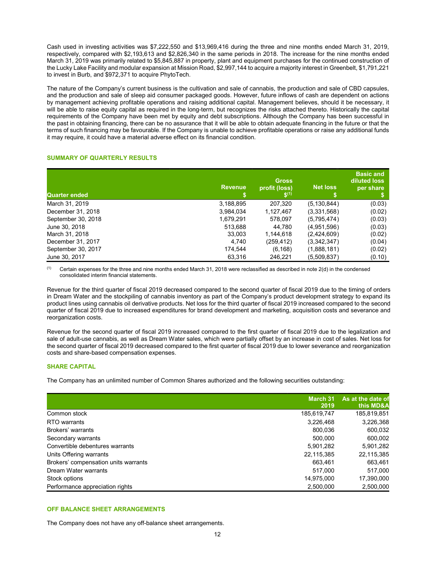Cash used in investing activities was \$7,222,550 and \$13,969,416 during the three and nine months ended March 31, 2019, respectively, compared with \$2,193,613 and \$2,826,340 in the same periods in 2018. The increase for the nine months ended March 31, 2019 was primarily related to \$5,845,887 in property, plant and equipment purchases for the continued construction of the Lucky Lake Facility and modular expansion at Mission Road, \$2,997,144 to acquire a majority interest in Greenbelt, \$1,791,221 to invest in Burb, and \$972,371 to acquire PhytoTech.

The nature of the Company's current business is the cultivation and sale of cannabis, the production and sale of CBD capsules, and the production and sale of sleep aid consumer packaged goods. However, future inflows of cash are dependent on actions by management achieving profitable operations and raising additional capital. Management believes, should it be necessary, it will be able to raise equity capital as required in the long-term, but recognizes the risks attached thereto. Historically the capital requirements of the Company have been met by equity and debt subscriptions. Although the Company has been successful in the past in obtaining financing, there can be no assurance that it will be able to obtain adequate financing in the future or that the terms of such financing may be favourable. If the Company is unable to achieve profitable operations or raise any additional funds it may require, it could have a material adverse effect on its financial condition.

# SUMMARY OF QUARTERLY RESULTS

| Quarter ended      | <b>Revenue</b> | <b>Gross</b><br>profit (loss)<br>$S^{(1)}$ | <b>Net loss</b> | <b>Basic and</b><br>diluted loss<br>per share |
|--------------------|----------------|--------------------------------------------|-----------------|-----------------------------------------------|
| March 31, 2019     | 3,188,895      | 207,320                                    | (5, 130, 844)   | (0.03)                                        |
| December 31, 2018  | 3,984,034      | 1,127,467                                  | (3,331,568)     | (0.02)                                        |
| September 30, 2018 | 1,679,291      | 578,097                                    | (5,795,474)     | (0.03)                                        |
| June 30, 2018      | 513,688        | 44,780                                     | (4,951,596)     | (0.03)                                        |
| March 31, 2018     | 33,003         | 1,144,618                                  | (2,424,609)     | (0.02)                                        |
| December 31, 2017  | 4,740          | (259,412)                                  | (3,342,347)     | (0.04)                                        |
| September 30, 2017 | 174,544        | (6, 168)                                   | (1,888,181)     | (0.02)                                        |
| June 30, 2017      | 63,316         | 246,221                                    | (5.509.837)     | (0.10)                                        |

 $(1)$  Certain expenses for the three and nine months ended March 31, 2018 were reclassified as described in note 2(d) in the condensed consolidated interim financial statements.

Revenue for the third quarter of fiscal 2019 decreased compared to the second quarter of fiscal 2019 due to the timing of orders in Dream Water and the stockpiling of cannabis inventory as part of the Company's product development strategy to expand its product lines using cannabis oil derivative products. Net loss for the third quarter of fiscal 2019 increased compared to the second quarter of fiscal 2019 due to increased expenditures for brand development and marketing, acquisition costs and severance and reorganization costs.

Revenue for the second quarter of fiscal 2019 increased compared to the first quarter of fiscal 2019 due to the legalization and sale of adult-use cannabis, as well as Dream Water sales, which were partially offset by an increase in cost of sales. Net loss for the second quarter of fiscal 2019 decreased compared to the first quarter of fiscal 2019 due to lower severance and reorganization costs and share-based compensation expenses.

# SHARE CAPITAL

The Company has an unlimited number of Common Shares authorized and the following securities outstanding:

|                                      | March 31<br>2019 | As at the date of<br>this MD&A |
|--------------------------------------|------------------|--------------------------------|
| Common stock                         | 185,619,747      | 185,819,851                    |
| RTO warrants                         | 3,226,468        | 3,226,368                      |
| Brokers' warrants                    | 800,036          | 600,032                        |
| Secondary warrants                   | 500,000          | 600.002                        |
| Convertible debentures warrants      | 5,901,282        | 5,901,282                      |
| Units Offering warrants              | 22,115,385       | 22,115,385                     |
| Brokers' compensation units warrants | 663.461          | 663,461                        |
| Dream Water warrants                 | 517.000          | 517.000                        |
| Stock options                        | 14,975,000       | 17,390,000                     |
| Performance appreciation rights      | 2,500,000        | 2,500,000                      |

# OFF BALANCE SHEET ARRANGEMENTS

The Company does not have any off-balance sheet arrangements.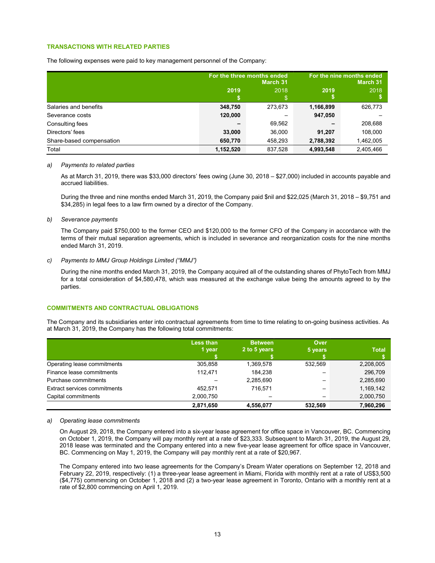# TRANSACTIONS WITH RELATED PARTIES

The following expenses were paid to key management personnel of the Company:

|                          |           | For the three months ended<br><b>March 31</b> | For the nine months ended<br>March 31 |           |  |
|--------------------------|-----------|-----------------------------------------------|---------------------------------------|-----------|--|
|                          | 2019      | 2018                                          | 2019                                  | 2018      |  |
| Salaries and benefits    | 348,750   | 273,673                                       | 1,166,899                             | 626,773   |  |
| Severance costs          | 120,000   |                                               | 947,050                               |           |  |
| Consulting fees          |           | 69,562                                        |                                       | 208,688   |  |
| Directors' fees          | 33,000    | 36,000                                        | 91.207                                | 108.000   |  |
| Share-based compensation | 650,770   | 458,293                                       | 2,788,392                             | 1,462,005 |  |
| Total                    | 1,152,520 | 837,528                                       | 4,993,548                             | 2,405,466 |  |

#### a) Payments to related parties

As at March 31, 2019, there was \$33,000 directors' fees owing (June 30, 2018 – \$27,000) included in accounts payable and accrued liabilities.

During the three and nine months ended March 31, 2019, the Company paid \$nil and \$22,025 (March 31, 2018 – \$9,751 and \$34,285) in legal fees to a law firm owned by a director of the Company.

#### b) Severance payments

The Company paid \$750,000 to the former CEO and \$120,000 to the former CFO of the Company in accordance with the terms of their mutual separation agreements, which is included in severance and reorganization costs for the nine months ended March 31, 2019.

## c) Payments to MMJ Group Holdings Limited ("MMJ")

During the nine months ended March 31, 2019, the Company acquired all of the outstanding shares of PhytoTech from MMJ for a total consideration of \$4,580,478, which was measured at the exchange value being the amounts agreed to by the parties.

# COMMITMENTS AND CONTRACTUAL OBLIGATIONS

The Company and its subsidiaries enter into contractual agreements from time to time relating to on-going business activities. As at March 31, 2019, the Company has the following total commitments:

|                              | <b>Less than</b> | <b>Between</b> | Over    |              |
|------------------------------|------------------|----------------|---------|--------------|
|                              | 1 year           | 2 to 5 years   | 5 years | <b>Total</b> |
|                              |                  |                |         |              |
| Operating lease commitments  | 305.858          | 1,369,578      | 532.569 | 2,208,005    |
| Finance lease commitments    | 112.471          | 184.238        | –       | 296,709      |
| Purchase commitments         |                  | 2,285,690      |         | 2,285,690    |
| Extract services commitments | 452.571          | 716.571        |         | 1,169,142    |
| Capital commitments          | 2,000,750        |                |         | 2,000,750    |
|                              | 2,871,650        | 4,556,077      | 532.569 | 7,960,296    |

## a) Operating lease commitments

On August 29, 2018, the Company entered into a six-year lease agreement for office space in Vancouver, BC. Commencing on October 1, 2019, the Company will pay monthly rent at a rate of \$23,333. Subsequent to March 31, 2019, the August 29, 2018 lease was terminated and the Company entered into a new five-year lease agreement for office space in Vancouver, BC. Commencing on May 1, 2019, the Company will pay monthly rent at a rate of \$20,967.

The Company entered into two lease agreements for the Company's Dream Water operations on September 12, 2018 and February 22, 2019, respectively: (1) a three-year lease agreement in Miami, Florida with monthly rent at a rate of US\$3,500 (\$4,775) commencing on October 1, 2018 and (2) a two-year lease agreement in Toronto, Ontario with a monthly rent at a rate of \$2,800 commencing on April 1, 2019.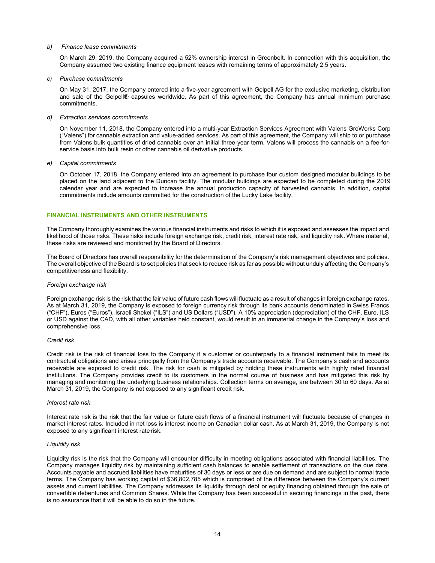## b) Finance lease commitments

On March 29, 2019, the Company acquired a 52% ownership interest in Greenbelt. In connection with this acquisition, the Company assumed two existing finance equipment leases with remaining terms of approximately 2.5 years.

#### c) Purchase commitments

On May 31, 2017, the Company entered into a five-year agreement with Gelpell AG for the exclusive marketing, distribution and sale of the Gelpell® capsules worldwide. As part of this agreement, the Company has annual minimum purchase commitments.

### d) Extraction services commitments

On November 11, 2018, the Company entered into a multi-year Extraction Services Agreement with Valens GroWorks Corp ("Valens") for cannabis extraction and value-added services. As part of this agreement, the Company will ship to or purchase from Valens bulk quantities of dried cannabis over an initial three-year term. Valens will process the cannabis on a fee-forservice basis into bulk resin or other cannabis oil derivative products.

#### e) Capital commitments

On October 17, 2018, the Company entered into an agreement to purchase four custom designed modular buildings to be placed on the land adjacent to the Duncan facility. The modular buildings are expected to be completed during the 2019 calendar year and are expected to increase the annual production capacity of harvested cannabis. In addition, capital commitments include amounts committed for the construction of the Lucky Lake facility.

## FINANCIAL INSTRUMENTS AND OTHER INSTRUMENTS

The Company thoroughly examines the various financial instruments and risks to which it is exposed and assesses the impact and likelihood of those risks. These risks include foreign exchange risk, credit risk, interest rate risk, and liquidity risk . Where material, these risks are reviewed and monitored by the Board of Directors.

The Board of Directors has overall responsibility for the determination of the Company's risk management objectives and policies. The overall objective of the Board is to set policies that seek to reduce risk as far as possible without unduly affecting the Company's competitiveness and flexibility.

## Foreign exchange risk

Foreign exchange risk is the risk that the fair value of future cash flows will fluctuate as a result of changes in foreign exchange rates. As at March 31, 2019, the Company is exposed to foreign currency risk through its bank accounts denominated in Swiss Francs ("CHF"), Euros ("Euros"), Israeli Shekel ("ILS") and US Dollars ("USD"). A 10% appreciation (depreciation) of the CHF, Euro, ILS or USD against the CAD, with all other variables held constant, would result in an immaterial change in the Company's loss and comprehensive loss.

## Credit risk

Credit risk is the risk of financial loss to the Company if a customer or counterparty to a financial instrument fails to meet its contractual obligations and arises principally from the Company's trade accounts receivable. The Company's cash and accounts receivable are exposed to credit risk. The risk for cash is mitigated by holding these instruments with highly rated financial institutions. The Company provides credit to its customers in the normal course of business and has mitigated this risk by managing and monitoring the underlying business relationships. Collection terms on average, are between 30 to 60 days. As at March 31, 2019, the Company is not exposed to any significant credit risk.

#### Interest rate risk

Interest rate risk is the risk that the fair value or future cash flows of a financial instrument will fluctuate because of changes in market interest rates. Included in net loss is interest income on Canadian dollar cash. As at March 31, 2019, the Company is not exposed to any significant interest rate risk.

# Liquidity risk

Liquidity risk is the risk that the Company will encounter difficulty in meeting obligations associated with financial liabilities. The Company manages liquidity risk by maintaining sufficient cash balances to enable settlement of transactions on the due date. Accounts payable and accrued liabilities have maturities of 30 days or less or are due on demand and are subject to normal trade terms. The Company has working capital of \$36,802,785 which is comprised of the difference between the Company's current assets and current liabilities. The Company addresses its liquidity through debt or equity financing obtained through the sale of convertible debentures and Common Shares. While the Company has been successful in securing financings in the past, there is no assurance that it will be able to do so in the future.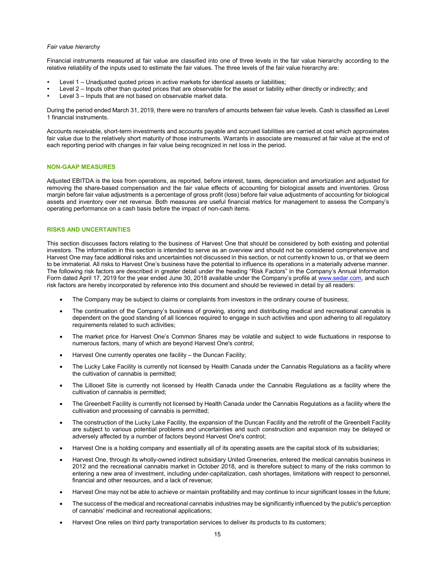#### Fair value hierarchy

Financial instruments measured at fair value are classified into one of three levels in the fair value hierarchy according to the relative reliability of the inputs used to estimate the fair values. The three levels of the fair value hierarchy are:

- 
- Level 1 Unadjusted quoted prices in active markets for identical assets or liabilities;<br>Level 2 Inputs other than quoted prices that are observable for the asset or liability either directly or indirectly; and<br>Level 3
- 

During the period ended March 31, 2019, there were no transfers of amounts between fair value levels. Cash is classified as Level 1 financial instruments.

Accounts receivable, short-term investments and accounts payable and accrued liabilities are carried at cost which approximates fair value due to the relatively short maturity of those instruments. Warrants in associate are measured at fair value at the end of each reporting period with changes in fair value being recognized in net loss in the period.

## NON-GAAP MEASURES

Adjusted EBITDA is the loss from operations, as reported, before interest, taxes, depreciation and amortization and adjusted for removing the share-based compensation and the fair value effects of accounting for biological assets and inventories. Gross margin before fair value adjustments is a percentage of gross profit (loss) before fair value adjustments of accounting for biological assets and inventory over net revenue. Both measures are useful financial metrics for management to assess the Company's operating performance on a cash basis before the impact of non-cash items.

## RISKS AND UNCERTAINTIES

This section discusses factors relating to the business of Harvest One that should be considered by both existing and potential investors. The information in this section is intended to serve as an overview and should not be considered comprehensive and Harvest One may face additional risks and uncertainties not discussed in this section, or not currently known to us, or that we deem to be immaterial. All risks to Harvest One's business have the potential to influence its operations in a materially adverse manner. The following risk factors are described in greater detail under the heading "Risk Factors" in the Company's Annual Information Form dated April 17, 2019 for the year ended June 30, 2018 available under the Company's profile at www.sedar.com, and such risk factors are hereby incorporated by reference into this document and should be reviewed in detail by all readers:

- The Company may be subject to claims or complaints from investors in the ordinary course of business;
- The continuation of the Company's business of growing, storing and distributing medical and recreational cannabis is dependent on the good standing of all licences required to engage in such activities and upon adhering to all regulatory requirements related to such activities;
- The market price for Harvest One's Common Shares may be volatile and subject to wide fluctuations in response to numerous factors, many of which are beyond Harvest One's control;
- Harvest One currently operates one facility the Duncan Facility;
- The Lucky Lake Facility is currently not licensed by Health Canada under the Cannabis Regulations as a facility where the cultivation of cannabis is permitted;
- The Lillooet Site is currently not licensed by Health Canada under the Cannabis Regulations as a facility where the cultivation of cannabis is permitted;
- The Greenbelt Facility is currently not licensed by Health Canada under the Cannabis Regulations as a facility where the cultivation and processing of cannabis is permitted;
- The construction of the Lucky Lake Facility, the expansion of the Duncan Facility and the retrofit of the Greenbelt Facility are subject to various potential problems and uncertainties and such construction and expansion may be delayed or adversely affected by a number of factors beyond Harvest One's control;
- Harvest One is a holding company and essentially all of its operating assets are the capital stock of its subsidiaries;
- Harvest One, through its wholly-owned indirect subsidiary United Greeneries, entered the medical cannabis business in 2012 and the recreational cannabis market in October 2018, and is therefore subject to many of the risks common to entering a new area of investment, including under-capitalization, cash shortages, limitations with respect to personnel, financial and other resources, and a lack of revenue;
- Harvest One may not be able to achieve or maintain profitability and may continue to incur significant losses in the future;
- The success of the medical and recreational cannabis industries may be significantly influenced by the public's perception of cannabis' medicinal and recreational applications;
- Harvest One relies on third party transportation services to deliver its products to its customers;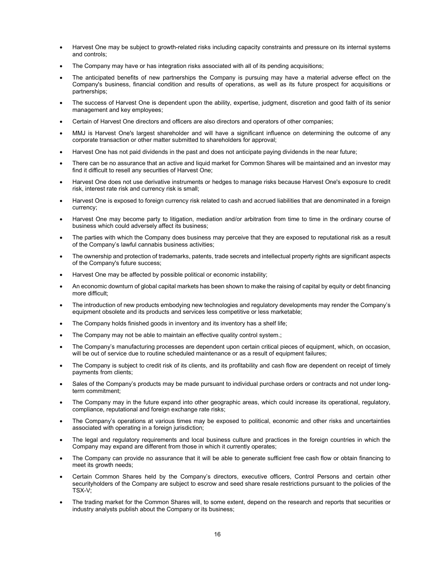- Harvest One may be subject to growth-related risks including capacity constraints and pressure on its internal systems and controls;
- The Company may have or has integration risks associated with all of its pending acquisitions;
- The anticipated benefits of new partnerships the Company is pursuing may have a material adverse effect on the Company's business, financial condition and results of operations, as well as its future prospect for acquisitions or partnerships;
- The success of Harvest One is dependent upon the ability, expertise, judgment, discretion and good faith of its senior management and key employees;
- Certain of Harvest One directors and officers are also directors and operators of other companies;
- MMJ is Harvest One's largest shareholder and will have a significant influence on determining the outcome of any corporate transaction or other matter submitted to shareholders for approval;
- Harvest One has not paid dividends in the past and does not anticipate paying dividends in the near future;
- There can be no assurance that an active and liquid market for Common Shares will be maintained and an investor may find it difficult to resell any securities of Harvest One;
- Harvest One does not use derivative instruments or hedges to manage risks because Harvest One's exposure to credit risk, interest rate risk and currency risk is small;
- Harvest One is exposed to foreign currency risk related to cash and accrued liabilities that are denominated in a foreign currency;
- Harvest One may become party to litigation, mediation and/or arbitration from time to time in the ordinary course of business which could adversely affect its business;
- The parties with which the Company does business may perceive that they are exposed to reputational risk as a result of the Company's lawful cannabis business activities;
- The ownership and protection of trademarks, patents, trade secrets and intellectual property rights are significant aspects of the Company's future success;
- Harvest One may be affected by possible political or economic instability;
- An economic downturn of global capital markets has been shown to make the raising of capital by equity or debt financing more difficult;
- The introduction of new products embodying new technologies and regulatory developments may render the Company's equipment obsolete and its products and services less competitive or less marketable;
- The Company holds finished goods in inventory and its inventory has a shelf life;
- The Company may not be able to maintain an effective quality control system.;
- The Company's manufacturing processes are dependent upon certain critical pieces of equipment, which, on occasion, will be out of service due to routine scheduled maintenance or as a result of equipment failures;
- The Company is subject to credit risk of its clients, and its profitability and cash flow are dependent on receipt of timely payments from clients;
- Sales of the Company's products may be made pursuant to individual purchase orders or contracts and not under longterm commitment;
- The Company may in the future expand into other geographic areas, which could increase its operational, regulatory, compliance, reputational and foreign exchange rate risks;
- The Company's operations at various times may be exposed to political, economic and other risks and uncertainties associated with operating in a foreign jurisdiction;
- The legal and regulatory requirements and local business culture and practices in the foreign countries in which the Company may expand are different from those in which it currently operates;
- The Company can provide no assurance that it will be able to generate sufficient free cash flow or obtain financing to meet its growth needs;
- Certain Common Shares held by the Company's directors, executive officers, Control Persons and certain other securityholders of the Company are subject to escrow and seed share resale restrictions pursuant to the policies of the TSX-V;
- The trading market for the Common Shares will, to some extent, depend on the research and reports that securities or industry analysts publish about the Company or its business;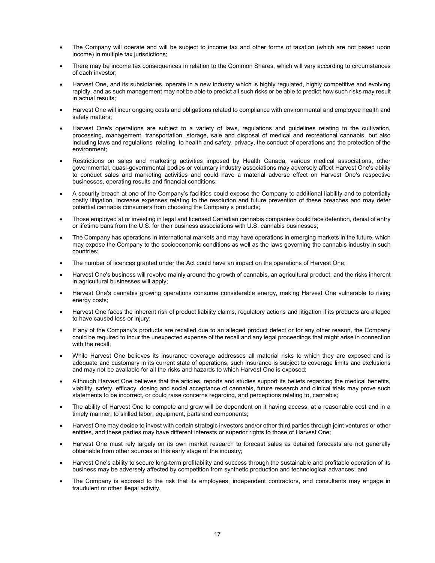- The Company will operate and will be subject to income tax and other forms of taxation (which are not based upon income) in multiple tax jurisdictions;
- There may be income tax consequences in relation to the Common Shares, which will vary according to circumstances of each investor;
- Harvest One, and its subsidiaries, operate in a new industry which is highly regulated, highly competitive and evolving rapidly, and as such management may not be able to predict all such risks or be able to predict how such risks may result in actual results;
- Harvest One will incur ongoing costs and obligations related to compliance with environmental and employee health and safety matters;
- Harvest One's operations are subject to a variety of laws, regulations and guidelines relating to the cultivation, processing, management, transportation, storage, sale and disposal of medical and recreational cannabis, but also including laws and regulations relating to health and safety, privacy, the conduct of operations and the protection of the environment;
- Restrictions on sales and marketing activities imposed by Health Canada, various medical associations, other governmental, quasi-governmental bodies or voluntary industry associations may adversely affect Harvest One's ability to conduct sales and marketing activities and could have a material adverse effect on Harvest One's respective businesses, operating results and financial conditions;
- A security breach at one of the Company's facilities could expose the Company to additional liability and to potentially costly litigation, increase expenses relating to the resolution and future prevention of these breaches and may deter potential cannabis consumers from choosing the Company's products;
- Those employed at or investing in legal and licensed Canadian cannabis companies could face detention, denial of entry or lifetime bans from the U.S. for their business associations with U.S. cannabis businesses;
- The Company has operations in international markets and may have operations in emerging markets in the future, which may expose the Company to the socioeconomic conditions as well as the laws governing the cannabis industry in such countries;
- The number of licences granted under the Act could have an impact on the operations of Harvest One;
- Harvest One's business will revolve mainly around the growth of cannabis, an agricultural product, and the risks inherent in agricultural businesses will apply;
- Harvest One's cannabis growing operations consume considerable energy, making Harvest One vulnerable to rising energy costs;
- Harvest One faces the inherent risk of product liability claims, regulatory actions and litigation if its products are alleged to have caused loss or injury;
- If any of the Company's products are recalled due to an alleged product defect or for any other reason, the Company could be required to incur the unexpected expense of the recall and any legal proceedings that might arise in connection with the recall;
- While Harvest One believes its insurance coverage addresses all material risks to which they are exposed and is adequate and customary in its current state of operations, such insurance is subject to coverage limits and exclusions and may not be available for all the risks and hazards to which Harvest One is exposed;
- Although Harvest One believes that the articles, reports and studies support its beliefs regarding the medical benefits, viability, safety, efficacy, dosing and social acceptance of cannabis, future research and clinical trials may prove such statements to be incorrect, or could raise concerns regarding, and perceptions relating to, cannabis;
- The ability of Harvest One to compete and grow will be dependent on it having access, at a reasonable cost and in a timely manner, to skilled labor, equipment, parts and components;
- Harvest One may decide to invest with certain strategic investors and/or other third parties through joint ventures or other entities, and these parties may have different interests or superior rights to those of Harvest One;
- Harvest One must rely largely on its own market research to forecast sales as detailed forecasts are not generally obtainable from other sources at this early stage of the industry;
- Harvest One's ability to secure long-term profitability and success through the sustainable and profitable operation of its business may be adversely affected by competition from synthetic production and technological advances; and
- The Company is exposed to the risk that its employees, independent contractors, and consultants may engage in fraudulent or other illegal activity.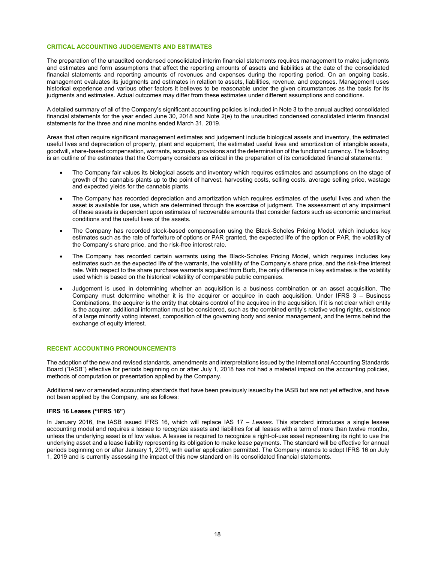## CRITICAL ACCOUNTING JUDGEMENTS AND ESTIMATES

The preparation of the unaudited condensed consolidated interim financial statements requires management to make judgments and estimates and form assumptions that affect the reporting amounts of assets and liabilities at the date of the consolidated financial statements and reporting amounts of revenues and expenses during the reporting period. On an ongoing basis, management evaluates its judgments and estimates in relation to assets, liabilities, revenue, and expenses. Management uses historical experience and various other factors it believes to be reasonable under the given circumstances as the basis for its judgments and estimates. Actual outcomes may differ from these estimates under different assumptions and conditions.

A detailed summary of all of the Company's significant accounting policies is included in Note 3 to the annual audited consolidated financial statements for the year ended June 30, 2018 and Note 2(e) to the unaudited condensed consolidated interim financial statements for the three and nine months ended March 31, 2019.

Areas that often require significant management estimates and judgement include biological assets and inventory, the estimated useful lives and depreciation of property, plant and equipment, the estimated useful lives and amortization of intangible assets, goodwill, share-based compensation, warrants, accruals, provisions and the determination of the functional currency. The following is an outline of the estimates that the Company considers as critical in the preparation of its consolidated financial statements:

- The Company fair values its biological assets and inventory which requires estimates and assumptions on the stage of growth of the cannabis plants up to the point of harvest, harvesting costs, selling costs, average selling price, wastage and expected yields for the cannabis plants.
- The Company has recorded depreciation and amortization which requires estimates of the useful lives and when the asset is available for use, which are determined through the exercise of judgment. The assessment of any impairment of these assets is dependent upon estimates of recoverable amounts that consider factors such as economic and market conditions and the useful lives of the assets.
- The Company has recorded stock-based compensation using the Black-Scholes Pricing Model, which includes key estimates such as the rate of forfeiture of options or PAR granted, the expected life of the option or PAR, the volatility of the Company's share price, and the risk-free interest rate.
- The Company has recorded certain warrants using the Black-Scholes Pricing Model, which requires includes key estimates such as the expected life of the warrants, the volatility of the Company's share price, and the risk-free interest rate. With respect to the share purchase warrants acquired from Burb, the only difference in key estimates is the volatility used which is based on the historical volatility of comparable public companies.
- Judgement is used in determining whether an acquisition is a business combination or an asset acquisition. The Company must determine whether it is the acquirer or acquiree in each acquisition. Under IFRS 3 – Business Combinations, the acquirer is the entity that obtains control of the acquiree in the acquisition. If it is not clear which entity is the acquirer, additional information must be considered, such as the combined entity's relative voting rights, existence of a large minority voting interest, composition of the governing body and senior management, and the terms behind the exchange of equity interest.

## RECENT ACCOUNTING PRONOUNCEMENTS

The adoption of the new and revised standards, amendments and interpretations issued by the International Accounting Standards Board ("IASB") effective for periods beginning on or after July 1, 2018 has not had a material impact on the accounting policies, methods of computation or presentation applied by the Company.

Additional new or amended accounting standards that have been previously issued by the IASB but are not yet effective, and have not been applied by the Company, are as follows:

## IFRS 16 Leases ("IFRS 16")

In January 2016, the IASB issued IFRS 16, which will replace IAS 17 – Leases. This standard introduces a single lessee accounting model and requires a lessee to recognize assets and liabilities for all leases with a term of more than twelve months, unless the underlying asset is of low value. A lessee is required to recognize a right-of-use asset representing its right to use the underlying asset and a lease liability representing its obligation to make lease payments. The standard will be effective for annual periods beginning on or after January 1, 2019, with earlier application permitted. The Company intends to adopt IFRS 16 on July 1, 2019 and is currently assessing the impact of this new standard on its consolidated financial statements.